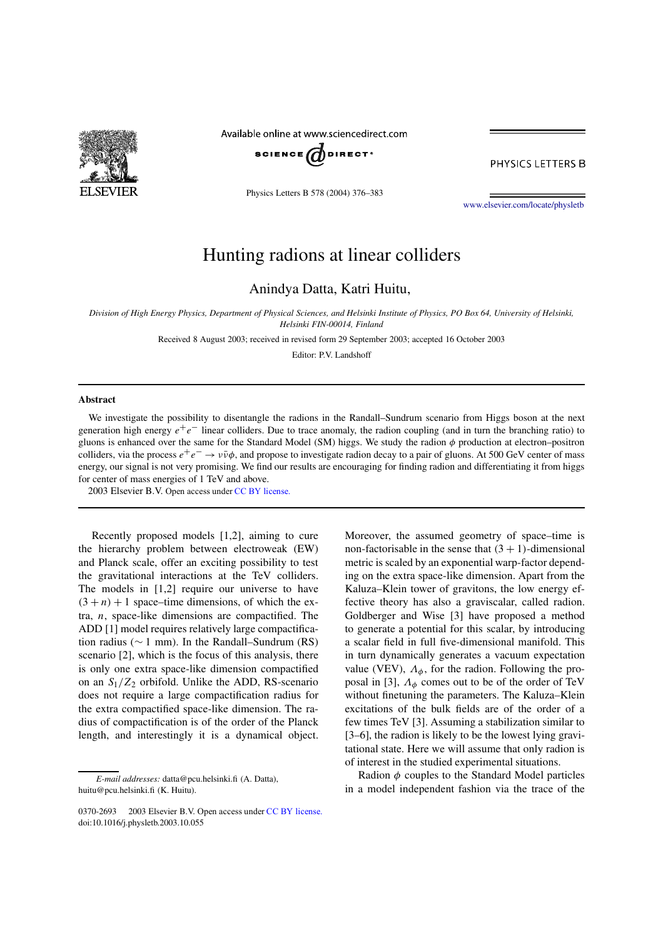

Available online at www.sciencedirect.com



PHYSICS LETTERS B

Physics Letters B 578 (2004) 376–383

www.elsevier.com/locate/physletb

## Hunting radions at linear colliders

Anindya Datta, Katri Huitu,

*Division of High Energy Physics, Department of Physical Sciences, and Helsinki Institute of Physics, PO Box 64, University of Helsinki, Helsinki FIN-00014, Finland*

Received 8 August 2003; received in revised form 29 September 2003; accepted 16 October 2003

Editor: P.V. Landshoff

## **Abstract**

We investigate the possibility to disentangle the radions in the Randall–Sundrum scenario from Higgs boson at the next generation high energy  $e^+e^-$  linear colliders. Due to trace anomaly, the radion coupling (and in turn the branching ratio) to gluons is enhanced over the same for the Standard Model (SM) higgs. We study the radion  $\phi$  production at electron–positron colliders, via the process  $e^+e^- \to \nu\bar{\nu}\phi$ , and propose to investigate radion decay to a pair of gluons. At 500 GeV center of mass energy, our signal is not very promising. We find our results are encouraging for finding radion and differentiating it from higgs for center of mass energies of 1 TeV and above.

 $© 2003 Elsevier B.V. Open access under CC BY license.$ 

Recently proposed models [1,2], aiming to cure the hierarchy problem between electroweak (EW) and Planck scale, offer an exciting possibility to test the gravitational interactions at the TeV colliders. The models in [1,2] require our universe to have  $(3 + n) + 1$  space–time dimensions, of which the extra,  $n$ , space-like dimensions are compactified. The ADD [1] model requires relatively large compactification radius ( $\sim$  1 mm). In the Randall–Sundrum (RS) scenario [2], which is the focus of this analysis, there is only one extra space-like dimension compactified on an  $S_1/Z_2$  orbifold. Unlike the ADD, RS-scenario does not require a large compactification radius for the extra compactified space-like dimension. The radius of compactification is of the order of the Planck length, and interestingly it is a dynamical object.

0370-2693 © 2003 Elsevier B.V. Open access under CC BY license. doi:10.1016/j.physletb.2003.10.055

Moreover, the assumed geometry of space–time is non-factorisable in the sense that  $(3 + 1)$ -dimensional metric is scaled by an exponential warp-factor depending on the extra space-like dimension. Apart from the Kaluza–Klein tower of gravitons, the low energy effective theory has also a graviscalar, called radion. Goldberger and Wise [3] have proposed a method to generate a potential for this scalar, by introducing a scalar field in full five-dimensional manifold. This in turn dynamically generates a vacuum expectation value (VEV),  $\Lambda_{\phi}$ , for the radion. Following the proposal in [3],  $\Lambda_{\phi}$  comes out to be of the order of TeV without finetuning the parameters. The Kaluza–Klein excitations of the bulk fields are of the order of a few times TeV [3]. Assuming a stabilization similar to [3–6], the radion is likely to be the lowest lying gravitational state. Here we will assume that only radion is of interest in the studied experimental situations.

Radion  $\phi$  couples to the Standard Model particles in a model independent fashion via the trace of the

*E-mail addresses:* datta@pcu.helsinki.fi (A. Datta), huitu@pcu.helsinki.fi (K. Huitu).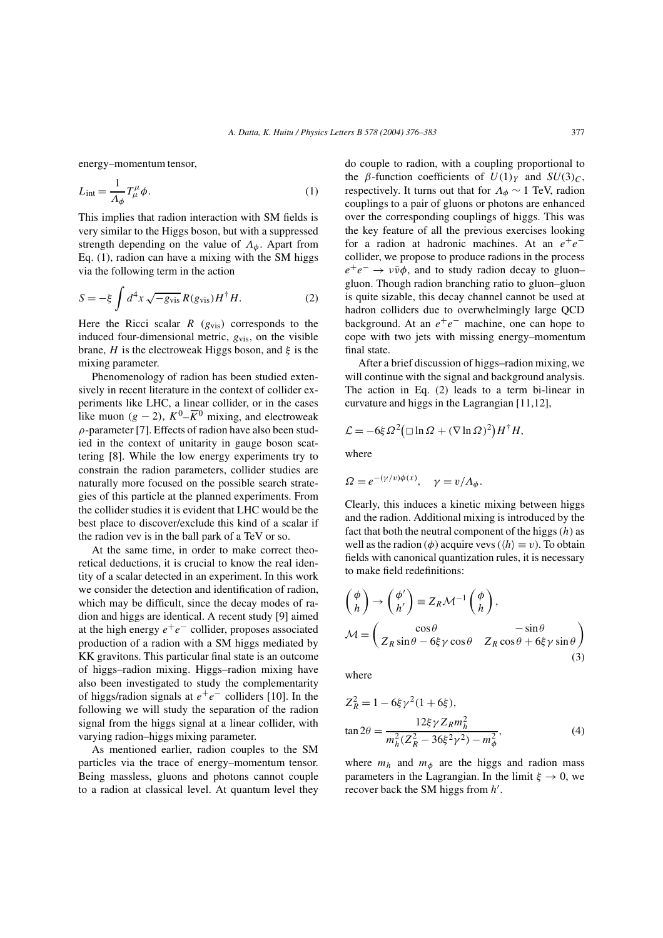energy–momentum tensor,

$$
L_{\text{int}} = \frac{1}{\Lambda_{\phi}} T_{\mu}^{\mu} \phi. \tag{1}
$$

This implies that radion interaction with SM fields is very similar to the Higgs boson, but with a suppressed strength depending on the value of  $\Lambda_{\phi}$ . Apart from Eq. (1), radion can have a mixing with the SM higgs via the following term in the action

$$
S = -\xi \int d^4x \sqrt{-g_{\text{vis}}} R(g_{\text{vis}}) H^{\dagger} H. \tag{2}
$$

Here the Ricci scalar  $R$  ( $g_{vis}$ ) corresponds to the induced four-dimensional metric,  $g_{vis}$ , on the visible brane, H is the electroweak Higgs boson, and  $\xi$  is the mixing parameter.

Phenomenology of radion has been studied extensively in recent literature in the context of collider experiments like LHC, a linear collider, or in the cases like muon (g – 2),  $K^0$ – $\overline{K}$ <sup>0</sup> mixing, and electroweak  $\rho$ -parameter [7]. Effects of radion have also been studied in the context of unitarity in gauge boson scattering [8]. While the low energy experiments try to constrain the radion parameters, collider studies are naturally more focused on the possible search strategies of this particle at the planned experiments. From the collider studies it is evident that LHC would be the best place to discover/exclude this kind of a scalar if the radion vev is in the ball park of a TeV or so.

At the same time, in order to make correct theoretical deductions, it is crucial to know the real identity of a scalar detected in an experiment. In this work we consider the detection and identification of radion, which may be difficult, since the decay modes of radion and higgs are identical. A recent study [9] aimed at the high energy  $e^+e^-$  collider, proposes associated production of a radion with a SM higgs mediated by KK gravitons. This particular final state is an outcome of higgs–radion mixing. Higgs–radion mixing have also been investigated to study the complementarity of higgs/radion signals at  $e^+e^-$  colliders [10]. In the following we will study the separation of the radion signal from the higgs signal at a linear collider, with varying radion–higgs mixing parameter.

As mentioned earlier, radion couples to the SM particles via the trace of energy–momentum tensor. Being massless, gluons and photons cannot couple to a radion at classical level. At quantum level they do couple to radion, with a coupling proportional to the *β*-function coefficients of  $U(1)_Y$  and  $SU(3)_C$ , respectively. It turns out that for  $\Lambda_{\phi} \sim 1$  TeV, radion couplings to a pair of gluons or photons are enhanced over the corresponding couplings of higgs. This was the key feature of all the previous exercises looking for a radion at hadronic machines. At an  $e^+e^$ collider, we propose to produce radions in the process  $e^+e^- \rightarrow \nu \bar{\nu} \phi$ , and to study radion decay to gluon– gluon. Though radion branching ratio to gluon–gluon is quite sizable, this decay channel cannot be used at hadron colliders due to overwhelmingly large QCD background. At an  $e^+e^-$  machine, one can hope to cope with two jets with missing energy–momentum final state.

After a brief discussion of higgs–radion mixing, we will continue with the signal and background analysis. The action in Eq. (2) leads to a term bi-linear in curvature and higgs in the Lagrangian [11,12],

$$
\mathcal{L} = -6\xi \Omega^2 (\Box \ln \Omega + (\nabla \ln \Omega)^2) H^{\dagger} H,
$$

where

$$
\Omega = e^{-(\gamma/v)\phi(x)}, \quad \gamma = v/\Lambda_{\phi}.
$$

Clearly, this induces a kinetic mixing between higgs and the radion. Additional mixing is introduced by the fact that both the neutral component of the higgs  $(h)$  as well as the radion ( $\phi$ ) acquire vevs ( $\langle h \rangle \equiv v$ ). To obtain fields with canonical quantization rules, it is necessary to make field redefinitions:

$$
\begin{pmatrix} \phi \\ h \end{pmatrix} \rightarrow \begin{pmatrix} \phi' \\ h' \end{pmatrix} \equiv Z_R \mathcal{M}^{-1} \begin{pmatrix} \phi \\ h \end{pmatrix},
$$
  

$$
\mathcal{M} = \begin{pmatrix} \cos \theta & -\sin \theta \\ Z_R \sin \theta - 6\xi \gamma \cos \theta & Z_R \cos \theta + 6\xi \gamma \sin \theta \end{pmatrix}
$$
(3)

where

$$
Z_R^2 = 1 - 6\xi \gamma^2 (1 + 6\xi),
$$
  
\n
$$
\tan 2\theta = \frac{12\xi \gamma Z_R m_h^2}{m_h^2 (Z_R^2 - 36\xi^2 \gamma^2) - m_\phi^2},
$$
\n(4)

where  $m_h$  and  $m_\phi$  are the higgs and radion mass parameters in the Lagrangian. In the limit  $\xi \to 0$ , we recover back the SM higgs from  $h'$ .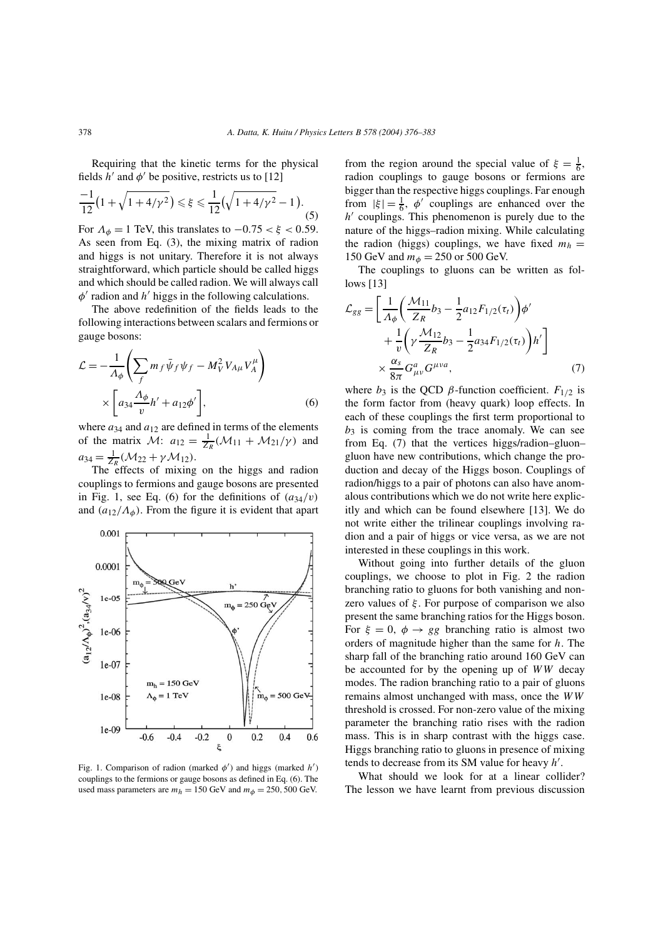Requiring that the kinetic terms for the physical fields  $h'$  and  $\phi'$  be positive, restricts us to [12]

$$
\frac{-1}{12}\left(1+\sqrt{1+4/\gamma^2}\right) \leq \xi \leq \frac{1}{12}\left(\sqrt{1+4/\gamma^2}-1\right).
$$
\n(5)

For  $\Lambda_{\phi} = 1$  TeV, this translates to  $-0.75 < \xi < 0.59$ . As seen from Eq. (3), the mixing matrix of radion and higgs is not unitary. Therefore it is not always straightforward, which particle should be called higgs and which should be called radion. We will always call  $\phi'$  radion and  $h'$  higgs in the following calculations.

The above redefinition of the fields leads to the following interactions between scalars and fermions or gauge bosons:

$$
\mathcal{L} = -\frac{1}{\Lambda_{\phi}} \left( \sum_{f} m_{f} \bar{\psi}_{f} \psi_{f} - M_{V}^{2} V_{A\mu} V_{A}^{\mu} \right) \times \left[ a_{34} \frac{\Lambda_{\phi}}{v} h' + a_{12} \phi' \right],
$$
\n(6)

where  $a_{34}$  and  $a_{12}$  are defined in terms of the elements of the matrix  $\mathcal{M}$ :  $a_{12} = \frac{1}{Z_R}(\mathcal{M}_{11} + \mathcal{M}_{21}/\gamma)$  and  $a_{34} = \frac{1}{Z_R}(\mathcal{M}_{22} + \gamma \mathcal{M}_{12}).$ 

The effects of mixing on the higgs and radion couplings to fermions and gauge bosons are presented in Fig. 1, see Eq. (6) for the definitions of  $(a_{34}/v)$ and  $(a_{12}/A_{\phi})$ . From the figure it is evident that apart



Fig. 1. Comparison of radion (marked  $\phi'$ ) and higgs (marked  $h'$ ) couplings to the fermions or gauge bosons as defined in Eq. (6). The used mass parameters are  $m_h = 150$  GeV and  $m_\phi = 250$ , 500 GeV.

from the region around the special value of  $\xi = \frac{1}{6}$ , radion couplings to gauge bosons or fermions are bigger than the respective higgs couplings. Far enough from  $|\xi| = \frac{1}{6}$ ,  $\phi'$  couplings are enhanced over the  $h'$  couplings. This phenomenon is purely due to the nature of the higgs–radion mixing. While calculating the radion (higgs) couplings, we have fixed  $m_h =$ 150 GeV and  $m_{\phi} = 250$  or 500 GeV.

The couplings to gluons can be written as follows [13]

$$
\mathcal{L}_{gg} = \left[ \frac{1}{\Lambda_{\phi}} \left( \frac{\mathcal{M}_{11}}{Z_R} b_3 - \frac{1}{2} a_{12} F_{1/2}(\tau_t) \right) \phi' + \frac{1}{v} \left( \gamma \frac{\mathcal{M}_{12}}{Z_R} b_3 - \frac{1}{2} a_{34} F_{1/2}(\tau_t) \right) h' \right] \times \frac{\alpha_s}{8\pi} G^a_{\mu\nu} G^{\mu\nu a}, \tag{7}
$$

where  $b_3$  is the QCD  $\beta$ -function coefficient.  $F_{1/2}$  is the form factor from (heavy quark) loop effects. In each of these couplings the first term proportional to  $b_3$  is coming from the trace anomaly. We can see from Eq. (7) that the vertices higgs/radion–gluon– gluon have new contributions, which change the production and decay of the Higgs boson. Couplings of radion/higgs to a pair of photons can also have anomalous contributions which we do not write here explicitly and which can be found elsewhere [13]. We do not write either the trilinear couplings involving radion and a pair of higgs or vice versa, as we are not interested in these couplings in this work.

Without going into further details of the gluon couplings, we choose to plot in Fig. 2 the radion branching ratio to gluons for both vanishing and nonzero values of  $\xi$ . For purpose of comparison we also present the same branching ratios for the Higgs boson. For  $\xi = 0$ ,  $\phi \rightarrow gg$  branching ratio is almost two orders of magnitude higher than the same for h. The sharp fall of the branching ratio around 160 GeV can be accounted for by the opening up of  $WW$  decay modes. The radion branching ratio to a pair of gluons remains almost unchanged with mass, once the WW threshold is crossed. For non-zero value of the mixing parameter the branching ratio rises with the radion mass. This is in sharp contrast with the higgs case. Higgs branching ratio to gluons in presence of mixing tends to decrease from its SM value for heavy  $h'$ .

What should we look for at a linear collider? The lesson we have learnt from previous discussion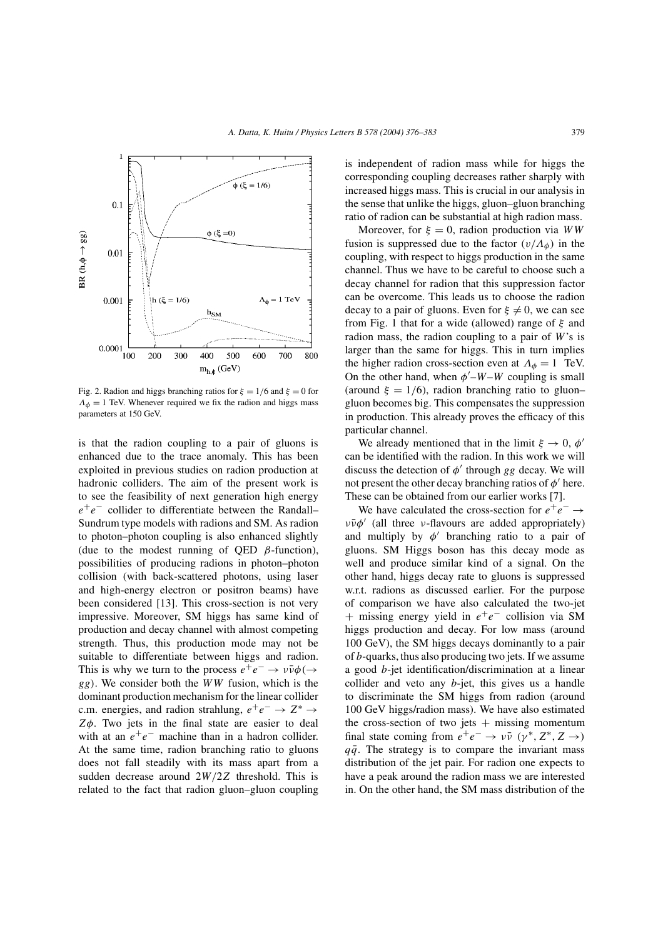

Fig. 2. Radion and higgs branching ratios for  $\xi = 1/6$  and  $\xi = 0$  for  $\Lambda_{\phi} = 1$  TeV. Whenever required we fix the radion and higgs mass parameters at 150 GeV.

is that the radion coupling to a pair of gluons is enhanced due to the trace anomaly. This has been exploited in previous studies on radion production at hadronic colliders. The aim of the present work is to see the feasibility of next generation high energy  $e^+e^-$  collider to differentiate between the Randall– Sundrum type models with radions and SM. As radion to photon–photon coupling is also enhanced slightly (due to the modest running of QED  $\beta$ -function), possibilities of producing radions in photon–photon collision (with back-scattered photons, using laser and high-energy electron or positron beams) have been considered [13]. This cross-section is not very impressive. Moreover, SM higgs has same kind of production and decay channel with almost competing strength. Thus, this production mode may not be suitable to differentiate between higgs and radion. This is why we turn to the process  $e^+e^- \rightarrow \nu \bar{\nu} \phi (\rightarrow$  $gg$ ). We consider both the WW fusion, which is the dominant production mechanism for the linear collider c.m. energies, and radion strahlung,  $e^+e^- \rightarrow Z^* \rightarrow$  $Z\phi$ . Two jets in the final state are easier to deal with at an  $e^+e^-$  machine than in a hadron collider. At the same time, radion branching ratio to gluons does not fall steadily with its mass apart from a sudden decrease around 2W/2Z threshold. This is related to the fact that radion gluon–gluon coupling

is independent of radion mass while for higgs the corresponding coupling decreases rather sharply with increased higgs mass. This is crucial in our analysis in the sense that unlike the higgs, gluon–gluon branching ratio of radion can be substantial at high radion mass.

Moreover, for  $\xi = 0$ , radion production via WW fusion is suppressed due to the factor  $(v/\Lambda_{\phi})$  in the coupling, with respect to higgs production in the same channel. Thus we have to be careful to choose such a decay channel for radion that this suppression factor can be overcome. This leads us to choose the radion decay to a pair of gluons. Even for  $\xi \neq 0$ , we can see from Fig. 1 that for a wide (allowed) range of  $\xi$  and radion mass, the radion coupling to a pair of W's is larger than the same for higgs. This in turn implies the higher radion cross-section even at  $\Lambda_{\phi} = 1$  TeV. On the other hand, when  $\phi'$ –W–W coupling is small (around  $\xi = 1/6$ ), radion branching ratio to gluon– gluon becomes big. This compensates the suppression in production. This already proves the efficacy of this particular channel.

We already mentioned that in the limit  $\xi \to 0$ ,  $\phi'$ can be identified with the radion. In this work we will discuss the detection of  $\phi'$  through gg decay. We will not present the other decay branching ratios of  $\phi'$  here. These can be obtained from our earlier works [7].

We have calculated the cross-section for  $e^+e^- \rightarrow$  $\nu\bar{\nu}\phi'$  (all three *v*-flavours are added appropriately) and multiply by  $\phi'$  branching ratio to a pair of gluons. SM Higgs boson has this decay mode as well and produce similar kind of a signal. On the other hand, higgs decay rate to gluons is suppressed w.r.t. radions as discussed earlier. For the purpose of comparison we have also calculated the two-jet + missing energy yield in  $e^+e^-$  collision via SM higgs production and decay. For low mass (around 100 GeV), the SM higgs decays dominantly to a pair of b-quarks, thus also producing two jets. If we assume a good b-jet identification/discrimination at a linear collider and veto any b-jet, this gives us a handle to discriminate the SM higgs from radion (around 100 GeV higgs/radion mass). We have also estimated the cross-section of two jets  $+$  missing momentum final state coming from  $e^+e^- \to \nu\bar{\nu}$   $(\gamma^*, Z^*, Z \to)$  $q\bar{q}$ . The strategy is to compare the invariant mass distribution of the jet pair. For radion one expects to have a peak around the radion mass we are interested in. On the other hand, the SM mass distribution of the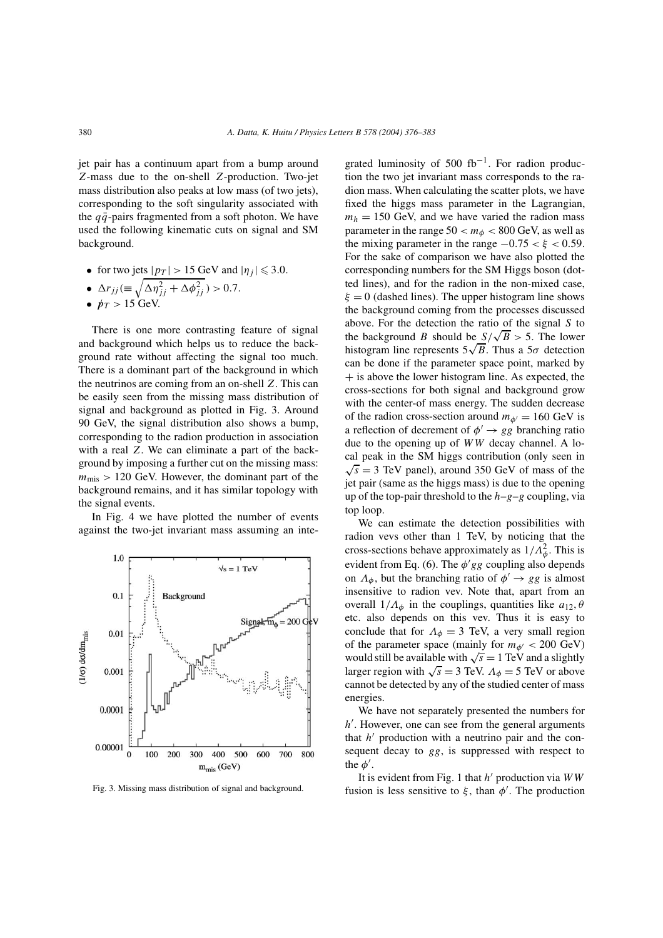jet pair has a continuum apart from a bump around Z-mass due to the on-shell Z-production. Two-jet mass distribution also peaks at low mass (of two jets), corresponding to the soft singularity associated with the  $q\bar{q}$ -pairs fragmented from a soft photon. We have used the following kinematic cuts on signal and SM background.

• for two jets  $|p_T| > 15$  GeV and  $|\eta_j| \leq 3.0$ .

• 
$$
\Delta r_{jj} (\equiv \sqrt{\Delta \eta_{jj}^2 + \Delta \phi_{jj}^2}) > 0.7.
$$

•  $p_T > 15$  GeV.

There is one more contrasting feature of signal and background which helps us to reduce the background rate without affecting the signal too much. There is a dominant part of the background in which the neutrinos are coming from an on-shell Z. This can be easily seen from the missing mass distribution of signal and background as plotted in Fig. 3. Around 90 GeV, the signal distribution also shows a bump, corresponding to the radion production in association with a real Z. We can eliminate a part of the background by imposing a further cut on the missing mass:  $m_{\text{mis}} > 120$  GeV. However, the dominant part of the background remains, and it has similar topology with the signal events.

In Fig. 4 we have plotted the number of events against the two-jet invariant mass assuming an inte-



Fig. 3. Missing mass distribution of signal and background.

grated luminosity of 500 fb<sup>-1</sup>. For radion production the two jet invariant mass corresponds to the radion mass. When calculating the scatter plots, we have fixed the higgs mass parameter in the Lagrangian,  $m_h = 150$  GeV, and we have varied the radion mass parameter in the range  $50 < m_{\phi} < 800$  GeV, as well as the mixing parameter in the range  $-0.75 < \xi < 0.59$ . For the sake of comparison we have also plotted the corresponding numbers for the SM Higgs boson (dotted lines), and for the radion in the non-mixed case,  $\xi = 0$  (dashed lines). The upper histogram line shows the background coming from the processes discussed above. For the detection the ratio of the signal S to the background B should be  $S/\sqrt{B} > 5$ . The lower histogram line represents  $5\sqrt{B}$ . Thus a  $5\sigma$  detection can be done if the parameter space point, marked by  $+$  is above the lower histogram line. As expected, the cross-sections for both signal and background grow with the center-of mass energy. The sudden decrease of the radion cross-section around  $m_{\phi'} = 160$  GeV is a reflection of decrement of  $\phi' \rightarrow gg$  branching ratio due to the opening up of WW decay channel. A local peak in the SM higgs contribution (only seen in  $\sqrt{s}$  = 3 TeV panel), around 350 GeV of mass of the jet pair (same as the higgs mass) is due to the opening up of the top-pair threshold to the  $h-g-g$  coupling, via top loop.

We can estimate the detection possibilities with radion vevs other than 1 TeV, by noticing that the cross-sections behave approximately as  $1/\Lambda_{\phi}^2$ . This is evident from Eq. (6). The  $\phi' gg$  coupling also depends on  $\Lambda_{\phi}$ , but the branching ratio of  $\phi' \rightarrow gg$  is almost insensitive to radion vev. Note that, apart from an overall  $1/\Lambda_{\phi}$  in the couplings, quantities like  $a_{12}, \theta$ etc. also depends on this vev. Thus it is easy to conclude that for  $\Lambda_{\phi} = 3$  TeV, a very small region of the parameter space (mainly for  $m_{\phi'} < 200$  GeV) would still be available with  $\sqrt{s} = 1$  TeV and a slightly larger region with  $\sqrt{s} = 3$  TeV.  $\Lambda_{\phi} = 5$  TeV or above cannot be detected by any of the studied center of mass energies.

We have not separately presented the numbers for h'. However, one can see from the general arguments that  $h'$  production with a neutrino pair and the consequent decay to gg, is suppressed with respect to the  $\phi'$ .

It is evident from Fig. 1 that  $h'$  production via  $WW$ fusion is less sensitive to  $\xi$ , than  $\phi'$ . The production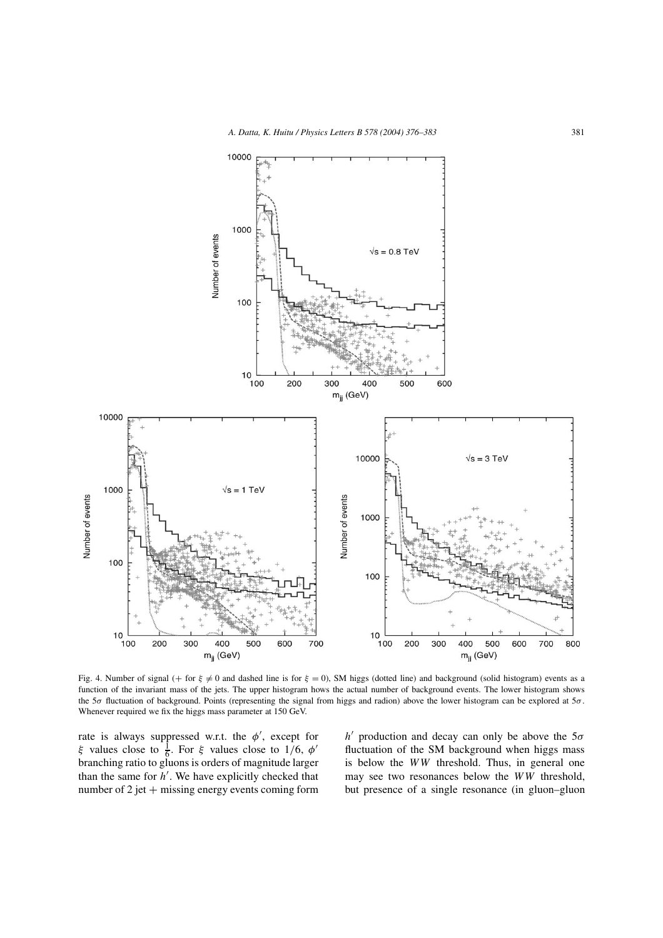

Fig. 4. Number of signal (+ for  $\xi \neq 0$  and dashed line is for  $\xi = 0$ ), SM higgs (dotted line) and background (solid histogram) events as a function of the invariant mass of the jets. The upper histogram hows the actual number of background events. The lower histogram shows the 5 $\sigma$  fluctuation of background. Points (representing the signal from higgs and radion) above the lower histogram can be explored at  $5\sigma$ . Whenever required we fix the higgs mass parameter at 150 GeV.

rate is always suppressed w.r.t. the  $\phi'$ , except for ξ values close to  $\frac{1}{6}$ . For ξ values close to 1/6,  $\phi'$ branching ratio to gluons is orders of magnitude larger than the same for  $h'$ . We have explicitly checked that number of  $2$  jet  $+$  missing energy events coming form

 $h'$  production and decay can only be above the  $5\sigma$ fluctuation of the SM background when higgs mass is below the WW threshold. Thus, in general one may see two resonances below the WW threshold, but presence of a single resonance (in gluon–gluon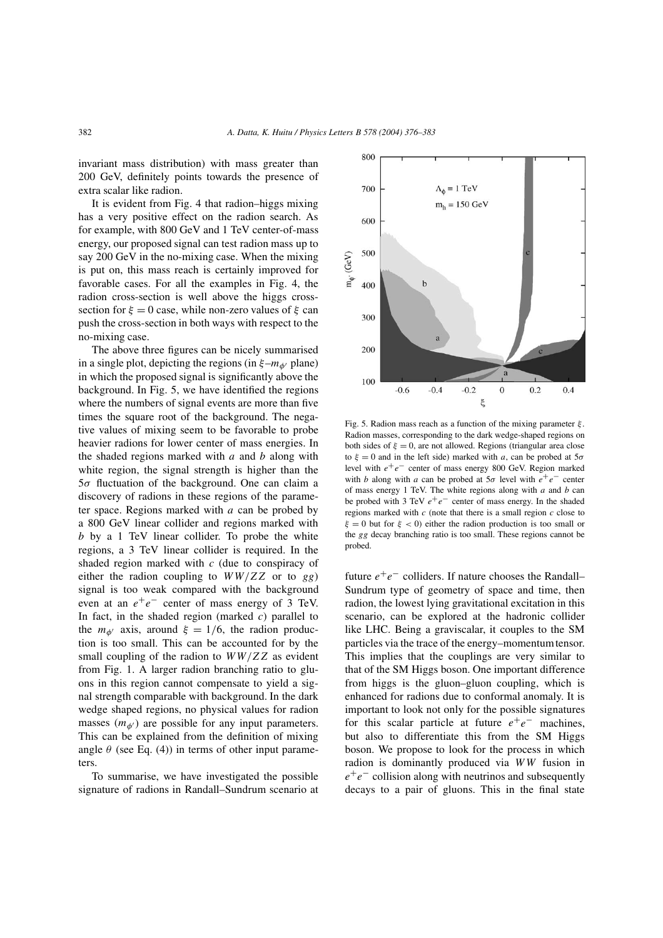invariant mass distribution) with mass greater than 200 GeV, definitely points towards the presence of extra scalar like radion.

It is evident from Fig. 4 that radion–higgs mixing has a very positive effect on the radion search. As for example, with 800 GeV and 1 TeV center-of-mass energy, our proposed signal can test radion mass up to say 200 GeV in the no-mixing case. When the mixing is put on, this mass reach is certainly improved for favorable cases. For all the examples in Fig. 4, the radion cross-section is well above the higgs crosssection for  $\xi = 0$  case, while non-zero values of  $\xi$  can push the cross-section in both ways with respect to the no-mixing case.

The above three figures can be nicely summarised in a single plot, depicting the regions (in  $\xi - m_{\phi'}$  plane) in which the proposed signal is significantly above the background. In Fig. 5, we have identified the regions where the numbers of signal events are more than five times the square root of the background. The negative values of mixing seem to be favorable to probe heavier radions for lower center of mass energies. In the shaded regions marked with  $a$  and  $b$  along with white region, the signal strength is higher than the  $5\sigma$  fluctuation of the background. One can claim a discovery of radions in these regions of the parameter space. Regions marked with  $a$  can be probed by a 800 GeV linear collider and regions marked with b by a 1 TeV linear collider. To probe the white regions, a 3 TeV linear collider is required. In the shaded region marked with  $c$  (due to conspiracy of either the radion coupling to  $WW/ZZ$  or to gg) signal is too weak compared with the background even at an  $e^+e^-$  center of mass energy of 3 TeV. In fact, in the shaded region (marked  $c$ ) parallel to the  $m_{\phi'}$  axis, around  $\xi = 1/6$ , the radion production is too small. This can be accounted for by the small coupling of the radion to  $WW/ZZ$  as evident from Fig. 1. A larger radion branching ratio to gluons in this region cannot compensate to yield a signal strength comparable with background. In the dark wedge shaped regions, no physical values for radion masses  $(m_{\phi'})$  are possible for any input parameters. This can be explained from the definition of mixing angle  $\theta$  (see Eq. (4)) in terms of other input parameters.

To summarise, we have investigated the possible signature of radions in Randall–Sundrum scenario at



Fig. 5. Radion mass reach as a function of the mixing parameter  $\xi$ . Radion masses, corresponding to the dark wedge-shaped regions on both sides of  $\xi = 0$ , are not allowed. Regions (triangular area close to  $\xi = 0$  and in the left side) marked with a, can be probed at  $5\sigma$ level with  $e^+e^-$  center of mass energy 800 GeV. Region marked with b along with a can be probed at  $5\sigma$  level with  $e^+e^-$  center of mass energy 1 TeV. The white regions along with  $a$  and  $b$  can be probed with 3 TeV  $e^+e^-$  center of mass energy. In the shaded regions marked with  $c$  (note that there is a small region  $c$  close to  $\xi = 0$  but for  $\xi < 0$ ) either the radion production is too small or the gg decay branching ratio is too small. These regions cannot be probed.

future  $e^+e^-$  colliders. If nature chooses the Randall– Sundrum type of geometry of space and time, then radion, the lowest lying gravitational excitation in this scenario, can be explored at the hadronic collider like LHC. Being a graviscalar, it couples to the SM particles via the trace of the energy–momentumtensor. This implies that the couplings are very similar to that of the SM Higgs boson. One important difference from higgs is the gluon–gluon coupling, which is enhanced for radions due to conformal anomaly. It is important to look not only for the possible signatures for this scalar particle at future  $e^+e^-$  machines, but also to differentiate this from the SM Higgs boson. We propose to look for the process in which radion is dominantly produced via WW fusion in  $e^+e^-$  collision along with neutrinos and subsequently decays to a pair of gluons. This in the final state